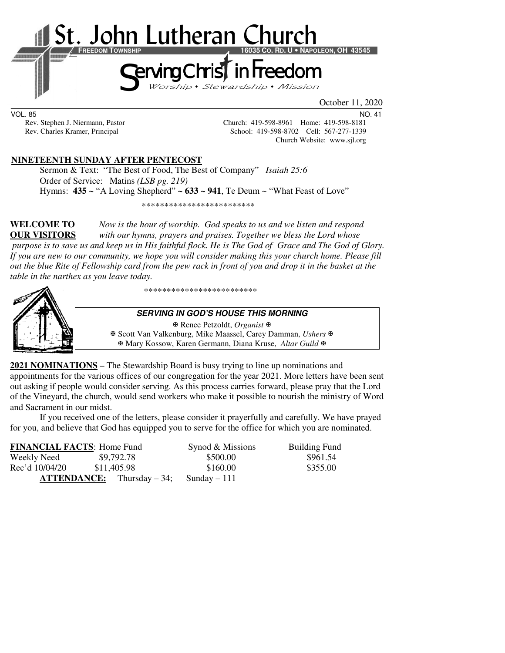

VOL. 85 NO. 41

Rev. Stephen J. Niermann, Pastor Church: 419-598-8961 Home: 419-598-8181<br>Rev. Charles Kramer, Principal School: 419-598-8702 Cell: 567-277-1339 School: 419-598-8702 Cell: 567-277-1339 Church Website: www.sjl.org

### **NINETEENTH SUNDAY AFTER PENTECOST**

 Sermon & Text: "The Best of Food, The Best of Company" *Isaiah 25:6* Order of Service: Matins *(LSB pg. 219)* Hymns: **435 ~** "A Loving Shepherd" **~ 633 ~ 941**, Te Deum ~ "What Feast of Love"

\*\*\*\*\*\*\*\*\*\*\*\*\*\*\*\*\*\*\*\*\*\*\*\*\*

**WELCOME TO** *Now is the hour of worship. God speaks to us and we listen and respond*  **OUR VISITORS** *with our hymns, prayers and praises. Together we bless the Lord whose purpose is to save us and keep us in His faithful flock. He is The God of Grace and The God of Glory. If you are new to our community, we hope you will consider making this your church home. Please fill out the blue Rite of Fellowship card from the pew rack in front of you and drop it in the basket at the table in the narthex as you leave today.* 



\*\*\*\*\*\*\*\*\*\*\*\*\*\*\*\*\*\*\*\*\*\*\*\*\*

#### **SERVING IN GOD'S HOUSE THIS MORNING**

 Renee Petzoldt, *Organist* Scott Van Valkenburg, Mike Maassel, Carey Damman, *Ushers* Mary Kossow, Karen Germann, Diana Kruse, *Altar Guild*

**2021 NOMINATIONS** – The Stewardship Board is busy trying to line up nominations and appointments for the various offices of our congregation for the year 2021. More letters have been sent out asking if people would consider serving. As this process carries forward, please pray that the Lord of the Vineyard, the church, would send workers who make it possible to nourish the ministry of Word and Sacrament in our midst.

If you received one of the letters, please consider it prayerfully and carefully. We have prayed for you, and believe that God has equipped you to serve for the office for which you are nominated.

| <b>FINANCIAL FACTS: Home Fund</b> |                                     | Synod & Missions | <b>Building Fund</b> |
|-----------------------------------|-------------------------------------|------------------|----------------------|
| Weekly Need                       | \$9,792.78                          | \$500.00         | \$961.54             |
| Rec'd 10/04/20                    | \$11,405.98                         | \$160.00         | \$355.00             |
|                                   | <b>ATTENDANCE:</b> Thursday $-34$ ; | Sunday $-111$    |                      |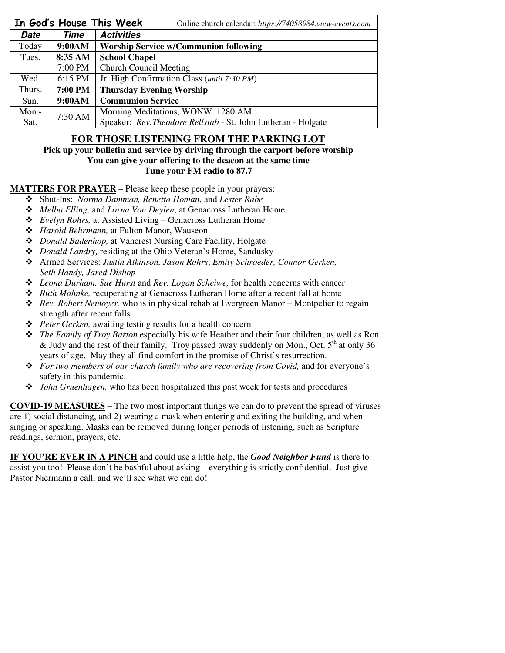|             |         | In God's House This Week<br>Online church calendar: https://74058984.view-events.com |  |
|-------------|---------|--------------------------------------------------------------------------------------|--|
| <b>Date</b> | Time    | <b>Activities</b>                                                                    |  |
| Today       | 9:00AM  | <b>Worship Service w/Communion following</b>                                         |  |
| Tues.       | 8:35 AM | <b>School Chapel</b>                                                                 |  |
|             | 7:00 PM | <b>Church Council Meeting</b>                                                        |  |
| Wed.        | 6:15 PM | Jr. High Confirmation Class (until 7:30 PM)                                          |  |
| Thurs.      | 7:00 PM | <b>Thursday Evening Worship</b>                                                      |  |
| Sun.        | 9:00AM  | <b>Communion Service</b>                                                             |  |
| Mon.-       | 7:30 AM | Morning Meditations, WONW 1280 AM                                                    |  |
| Sat.        |         | Speaker: Rev. Theodore Rellstab - St. John Lutheran - Holgate                        |  |

## **FOR THOSE LISTENING FROM THE PARKING LOT**

#### **Pick up your bulletin and service by driving through the carport before worship You can give your offering to the deacon at the same time Tune your FM radio to 87.7**

### **MATTERS FOR PRAYER** – Please keep these people in your prayers:

- Shut-Ins: *Norma Damman, Renetta Homan,* and *Lester Rabe*
- *Melba Elling,* and *Lorna Von Deylen*, at Genacross Lutheran Home
- *Evelyn Rohrs,* at Assisted Living Genacross Lutheran Home
- *Harold Behrmann,* at Fulton Manor, Wauseon
- *Donald Badenhop,* at Vancrest Nursing Care Facility, Holgate
- *Donald Landry,* residing at the Ohio Veteran's Home, Sandusky
- Armed Services: *Justin Atkinson, Jason Rohrs*, *Emily Schroeder, Connor Gerken, Seth Handy, Jared Dishop*
- *Leona Durham, Sue Hurst* and *Rev. Logan Scheiwe,* for health concerns with cancer
- *Ruth Mahnke,* recuperating at Genacross Lutheran Home after a recent fall at home
- *Rev. Robert Nemoyer,* who is in physical rehab at Evergreen Manor Montpelier to regain strength after recent falls.
- *Peter Gerken,* awaiting testing results for a health concern
- *The Family of Troy Barton* especially his wife Heather and their four children, as well as Ron & Judy and the rest of their family. Troy passed away suddenly on Mon., Oct.  $5<sup>th</sup>$  at only 36 years of age. May they all find comfort in the promise of Christ's resurrection.
- *For two members of our church family who are recovering from Covid,* and for everyone's safety in this pandemic.
- *John Gruenhagen,* who has been hospitalized this past week for tests and procedures

**COVID-19 MEASURES –** The two most important things we can do to prevent the spread of viruses are 1) social distancing, and 2) wearing a mask when entering and exiting the building, and when singing or speaking. Masks can be removed during longer periods of listening, such as Scripture readings, sermon, prayers, etc.

**IF YOU'RE EVER IN A PINCH** and could use a little help, the *Good Neighbor Fund* is there to assist you too! Please don't be bashful about asking – everything is strictly confidential. Just give Pastor Niermann a call, and we'll see what we can do!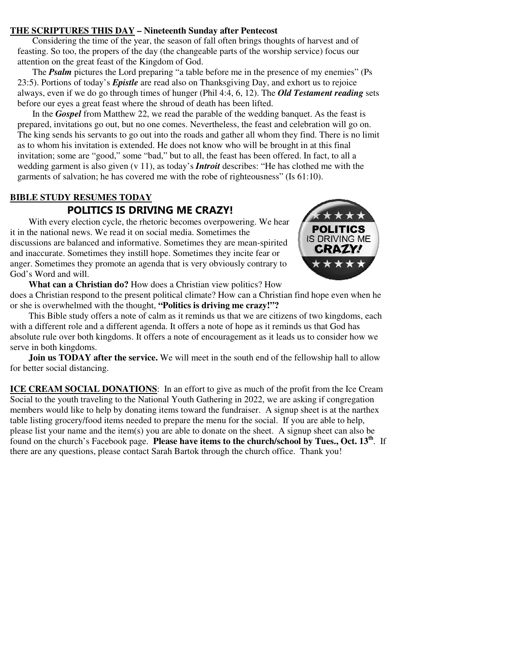### **THE SCRIPTURES THIS DAY – Nineteenth Sunday after Pentecost**

Considering the time of the year, the season of fall often brings thoughts of harvest and of feasting. So too, the propers of the day (the changeable parts of the worship service) focus our attention on the great feast of the Kingdom of God.

The *Psalm* pictures the Lord preparing "a table before me in the presence of my enemies" (Ps 23:5). Portions of today's *Epistle* are read also on Thanksgiving Day, and exhort us to rejoice always, even if we do go through times of hunger (Phil 4:4, 6, 12). The *Old Testament reading* sets before our eyes a great feast where the shroud of death has been lifted.

In the *Gospel* from Matthew 22, we read the parable of the wedding banquet. As the feast is prepared, invitations go out, but no one comes. Nevertheless, the feast and celebration will go on. The king sends his servants to go out into the roads and gather all whom they find. There is no limit as to whom his invitation is extended. He does not know who will be brought in at this final invitation; some are "good," some "bad," but to all, the feast has been offered. In fact, to all a wedding garment is also given (v 11), as today's *Introit* describes: "He has clothed me with the garments of salvation; he has covered me with the robe of righteousness" (Is 61:10).

# **BIBLE STUDY RESUMES TODAY**

# **POLITICS IS DRIVING ME CRAZY!**

With every election cycle, the rhetoric becomes overpowering. We hear it in the national news. We read it on social media. Sometimes the discussions are balanced and informative. Sometimes they are mean-spirited and inaccurate. Sometimes they instill hope. Sometimes they incite fear or anger. Sometimes they promote an agenda that is very obviously contrary to God's Word and will.



**What can a Christian do?** How does a Christian view politics? How does a Christian respond to the present political climate? How can a Christian find hope even when he or she is overwhelmed with the thought, **"Politics is driving me crazy!"?**

This Bible study offers a note of calm as it reminds us that we are citizens of two kingdoms, each with a different role and a different agenda. It offers a note of hope as it reminds us that God has absolute rule over both kingdoms. It offers a note of encouragement as it leads us to consider how we serve in both kingdoms.

**Join us TODAY after the service.** We will meet in the south end of the fellowship hall to allow for better social distancing.

**ICE CREAM SOCIAL DONATIONS**: In an effort to give as much of the profit from the Ice Cream Social to the youth traveling to the National Youth Gathering in 2022, we are asking if congregation members would like to help by donating items toward the fundraiser. A signup sheet is at the narthex table listing grocery/food items needed to prepare the menu for the social. If you are able to help, please list your name and the item(s) you are able to donate on the sheet. A signup sheet can also be found on the church's Facebook page. **Please have items to the church/school by Tues., Oct. 13th**. If there are any questions, please contact Sarah Bartok through the church office. Thank you!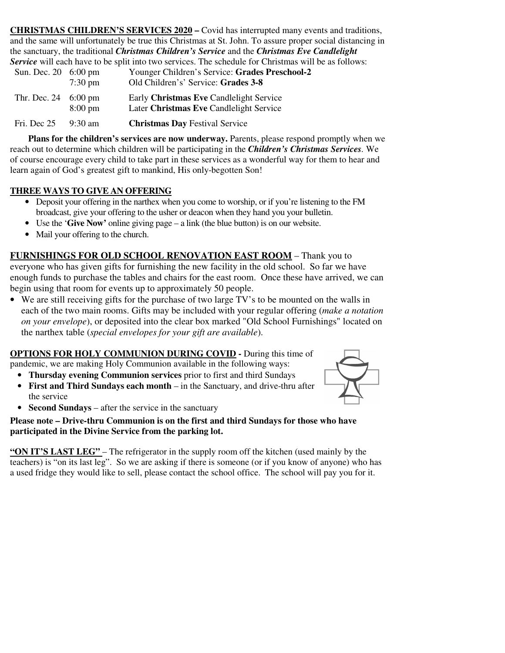**CHRISTMAS CHILDREN'S SERVICES 2020 –** Covid has interrupted many events and traditions, and the same will unfortunately be true this Christmas at St. John. To assure proper social distancing in the sanctuary, the traditional *Christmas Children's Service* and the *Christmas Eve Candlelight Service* will each have to be split into two services. The schedule for Christmas will be as follows:

| Sun. Dec. 20 6:00 pm                 | $7:30 \text{ pm}$ | Younger Children's Service: Grades Preschool-2<br>Old Children's' Service: Grades 3-8 |
|--------------------------------------|-------------------|---------------------------------------------------------------------------------------|
| Thr. Dec. $24 \quad 6:00 \text{ pm}$ | $8:00 \text{ pm}$ | Early Christmas Eve Candlelight Service<br>Later Christmas Eve Candlelight Service    |
| Fri. Dec 25                          | $9:30 \text{ am}$ | <b>Christmas Day Festival Service</b>                                                 |

 **Plans for the children's services are now underway.** Parents, please respond promptly when we reach out to determine which children will be participating in the *Children's Christmas Services.* We of course encourage every child to take part in these services as a wonderful way for them to hear and learn again of God's greatest gift to mankind, His only-begotten Son!

## **THREE WAYS TO GIVE AN OFFERING**

- Deposit your offering in the narthex when you come to worship, or if you're listening to the FM broadcast, give your offering to the usher or deacon when they hand you your bulletin.
- Use the '**Give Now'** online giving page a link (the blue button) is on our website.
- Mail your offering to the church.

**FURNISHINGS FOR OLD SCHOOL RENOVATION EAST ROOM** – Thank you to everyone who has given gifts for furnishing the new facility in the old school. So far we have enough funds to purchase the tables and chairs for the east room. Once these have arrived, we can

begin using that room for events up to approximately 50 people.

• We are still receiving gifts for the purchase of two large TV's to be mounted on the walls in each of the two main rooms. Gifts may be included with your regular offering (*make a notation on your envelope*), or deposited into the clear box marked "Old School Furnishings" located on the narthex table (*special envelopes for your gift are available*).

**OPTIONS FOR HOLY COMMUNION DURING COVID -** During this time of pandemic, we are making Holy Communion available in the following ways:

- **Thursday evening Communion services** prior to first and third Sundays
- **First and Third Sundays each month** in the Sanctuary, and drive-thru after the service



• **Second Sundays** – after the service in the sanctuary

### **Please note – Drive-thru Communion is on the first and third Sundays for those who have participated in the Divine Service from the parking lot.**

**"ON IT'S LAST LEG"** – The refrigerator in the supply room off the kitchen (used mainly by the teachers) is "on its last leg". So we are asking if there is someone (or if you know of anyone) who has a used fridge they would like to sell, please contact the school office. The school will pay you for it.